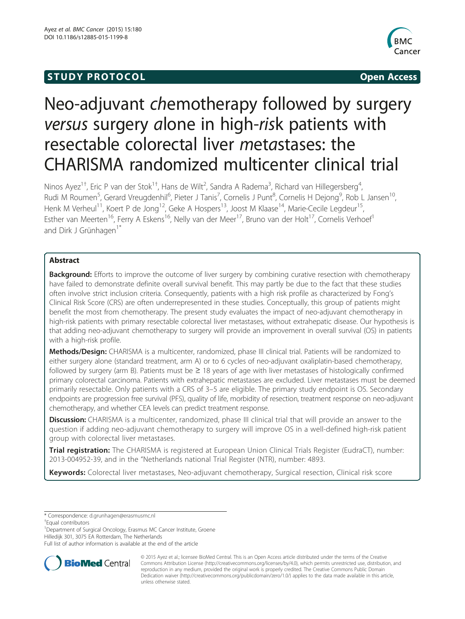# **STUDY PROTOCOL CONSUMING THE STUDY PROTOCOL**



# Neo-adjuvant chemotherapy followed by surgery versus surgery alone in high-risk patients with resectable colorectal liver metastases: the CHARISMA randomized multicenter clinical trial

Ninos Ayez<sup>1†</sup>, Eric P van der Stok<sup>1†</sup>, Hans de Wilt<sup>2</sup>, Sandra A Radema<sup>3</sup>, Richard van Hillegersberg<sup>4</sup> , Rudi M Roumen<sup>5</sup>, Gerard Vreugdenhil<sup>6</sup>, Pieter J Tanis<sup>7</sup>, Cornelis J Punt<sup>8</sup>, Cornelis H Dejong<sup>9</sup>, Rob L Jansen<sup>10</sup>, Henk M Verheul<sup>11</sup>, Koert P de Jong<sup>12</sup>, Geke A Hospers<sup>13</sup>, Joost M Klaase<sup>14</sup>, Marie-Cecile Legdeur<sup>15</sup>, Esther van Meerten<sup>16</sup>, Ferry A Eskens<sup>16</sup>, Nelly van der Meer<sup>17</sup>, Bruno van der Holt<sup>17</sup>, Cornelis Verhoef<sup>1</sup> and Dirk J Grünhagen<sup>1\*</sup>

# Abstract

**Background:** Efforts to improve the outcome of liver surgery by combining curative resection with chemotherapy have failed to demonstrate definite overall survival benefit. This may partly be due to the fact that these studies often involve strict inclusion criteria. Consequently, patients with a high risk profile as characterized by Fong's Clinical Risk Score (CRS) are often underrepresented in these studies. Conceptually, this group of patients might benefit the most from chemotherapy. The present study evaluates the impact of neo-adjuvant chemotherapy in high-risk patients with primary resectable colorectal liver metastases, without extrahepatic disease. Our hypothesis is that adding neo-adjuvant chemotherapy to surgery will provide an improvement in overall survival (OS) in patients with a high-risk profile.

Methods/Design: CHARISMA is a multicenter, randomized, phase III clinical trial. Patients will be randomized to either surgery alone (standard treatment, arm A) or to 6 cycles of neo-adjuvant oxaliplatin-based chemotherapy, followed by surgery (arm B). Patients must be  $\geq$  18 years of age with liver metastases of histologically confirmed primary colorectal carcinoma. Patients with extrahepatic metastases are excluded. Liver metastases must be deemed primarily resectable. Only patients with a CRS of 3–5 are eligible. The primary study endpoint is OS. Secondary endpoints are progression free survival (PFS), quality of life, morbidity of resection, treatment response on neo-adjuvant chemotherapy, and whether CEA levels can predict treatment response.

Discussion: CHARISMA is a multicenter, randomized, phase III clinical trial that will provide an answer to the question if adding neo-adjuvant chemotherapy to surgery will improve OS in a well-defined high-risk patient group with colorectal liver metastases.

Trial registration: The CHARISMA is registered at European Union Clinical Trials Register (EudraCT), number: [2013-004952-39](http://www.trialregister.nl/trialreg/admin/rctsearch.asp?Term=4893), and in the "Netherlands national Trial Register (NTR), number: 4893.

Keywords: Colorectal liver metastases, Neo-adjuvant chemotherapy, Surgical resection, Clinical risk score

<sup>1</sup>Department of Surgical Oncology, Erasmus MC Cancer Institute, Groene Hilledijk 301, 3075 EA Rotterdam, The Netherlands

Full list of author information is available at the end of the article



© 2015 Ayez et al.; licensee BioMed Central. This is an Open Access article distributed under the terms of the Creative Commons Attribution License [\(http://creativecommons.org/licenses/by/4.0\)](http://creativecommons.org/licenses/by/4.0), which permits unrestricted use, distribution, and reproduction in any medium, provided the original work is properly credited. The Creative Commons Public Domain Dedication waiver [\(http://creativecommons.org/publicdomain/zero/1.0/](http://creativecommons.org/publicdomain/zero/1.0/)) applies to the data made available in this article, unless otherwise stated.

<sup>\*</sup> Correspondence: [d.grunhagen@erasmusmc.nl](mailto:d.grunhagen@erasmusmc.nl) †

Equal contributors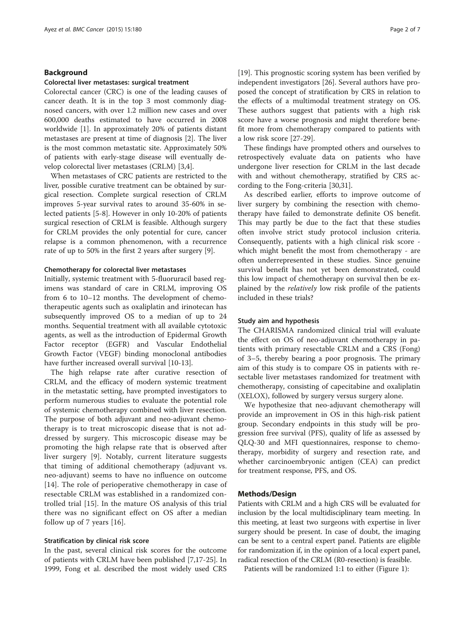#### Background

#### Colorectal liver metastases: surgical treatment

Colorectal cancer (CRC) is one of the leading causes of cancer death. It is in the top 3 most commonly diagnosed cancers, with over 1.2 million new cases and over 600,000 deaths estimated to have occurred in 2008 worldwide [\[1](#page-5-0)]. In approximately 20% of patients distant metastases are present at time of diagnosis [\[2\]](#page-5-0). The liver is the most common metastatic site. Approximately 50% of patients with early-stage disease will eventually develop colorectal liver metastases (CRLM) [\[3,4](#page-5-0)].

When metastases of CRC patients are restricted to the liver, possible curative treatment can be obtained by surgical resection. Complete surgical resection of CRLM improves 5-year survival rates to around 35-60% in selected patients [\[5](#page-5-0)-[8](#page-5-0)]. However in only 10-20% of patients surgical resection of CRLM is feasible. Although surgery for CRLM provides the only potential for cure, cancer relapse is a common phenomenon, with a recurrence rate of up to 50% in the first 2 years after surgery [\[9](#page-5-0)].

#### Chemotherapy for colorectal liver metastases

Initially, systemic treatment with 5-fluoruracil based regimens was standard of care in CRLM, improving OS from 6 to 10–12 months. The development of chemotherapeutic agents such as oxaliplatin and irinotecan has subsequently improved OS to a median of up to 24 months. Sequential treatment with all available cytotoxic agents, as well as the introduction of Epidermal Growth Factor receptor (EGFR) and Vascular Endothelial Growth Factor (VEGF) binding monoclonal antibodies have further increased overall survival [[10-13\]](#page-5-0).

The high relapse rate after curative resection of CRLM, and the efficacy of modern systemic treatment in the metastatic setting, have prompted investigators to perform numerous studies to evaluate the potential role of systemic chemotherapy combined with liver resection. The purpose of both adjuvant and neo-adjuvant chemotherapy is to treat microscopic disease that is not addressed by surgery. This microscopic disease may be promoting the high relapse rate that is observed after liver surgery [[9\]](#page-5-0). Notably, current literature suggests that timing of additional chemotherapy (adjuvant vs. neo-adjuvant) seems to have no influence on outcome [[14\]](#page-5-0). The role of perioperative chemotherapy in case of resectable CRLM was established in a randomized controlled trial [[15](#page-5-0)]. In the mature OS analysis of this trial there was no significant effect on OS after a median follow up of 7 years [\[16](#page-5-0)].

#### Stratification by clinical risk score

In the past, several clinical risk scores for the outcome of patients with CRLM have been published [\[7,17](#page-5-0)-[25\]](#page-5-0). In 1999, Fong et al. described the most widely used CRS [[19\]](#page-5-0). This prognostic scoring system has been verified by independent investigators [[26\]](#page-5-0). Several authors have proposed the concept of stratification by CRS in relation to the effects of a multimodal treatment strategy on OS. These authors suggest that patients with a high risk score have a worse prognosis and might therefore benefit more from chemotherapy compared to patients with a low risk score [[27-29](#page-6-0)].

These findings have prompted others and ourselves to retrospectively evaluate data on patients who have undergone liver resection for CRLM in the last decade with and without chemotherapy, stratified by CRS according to the Fong-criteria [[30](#page-6-0),[31](#page-6-0)].

As described earlier, efforts to improve outcome of liver surgery by combining the resection with chemotherapy have failed to demonstrate definite OS benefit. This may partly be due to the fact that these studies often involve strict study protocol inclusion criteria. Consequently, patients with a high clinical risk score which might benefit the most from chemotherapy - are often underrepresented in these studies. Since genuine survival benefit has not yet been demonstrated, could this low impact of chemotherapy on survival then be explained by the relatively low risk profile of the patients included in these trials?

#### Study aim and hypothesis

The CHARISMA randomized clinical trial will evaluate the effect on OS of neo-adjuvant chemotherapy in patients with primary resectable CRLM and a CRS (Fong) of 3–5, thereby bearing a poor prognosis. The primary aim of this study is to compare OS in patients with resectable liver metastases randomized for treatment with chemotherapy, consisting of capecitabine and oxaliplatin (XELOX), followed by surgery versus surgery alone.

We hypothesize that neo-adjuvant chemotherapy will provide an improvement in OS in this high-risk patient group. Secondary endpoints in this study will be progression free survival (PFS), quality of life as assessed by QLQ-30 and MFI questionnaires, response to chemotherapy, morbidity of surgery and resection rate, and whether carcinoembryonic antigen (CEA) can predict for treatment response, PFS, and OS.

#### Methods/Design

Patients with CRLM and a high CRS will be evaluated for inclusion by the local multidisciplinary team meeting. In this meeting, at least two surgeons with expertise in liver surgery should be present. In case of doubt, the imaging can be sent to a central expert panel. Patients are eligible for randomization if, in the opinion of a local expert panel, radical resection of the CRLM (R0-resection) is feasible.

Patients will be randomized 1:1 to either (Figure [1\)](#page-2-0):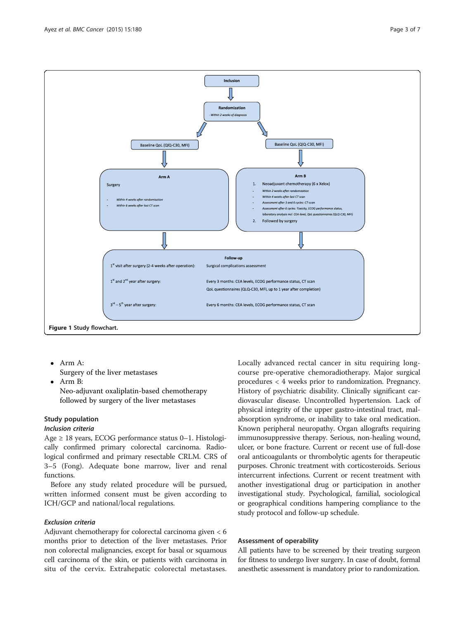<span id="page-2-0"></span>

- $\bullet$  Arm A:
- Surgery of the liver metastases
- Arm B: Neo-adjuvant oxaliplatin-based chemotherapy

followed by surgery of the liver metastases

## Study population

#### Inclusion criteria

Age ≥ 18 years, ECOG performance status 0–1. Histologically confirmed primary colorectal carcinoma. Radiological confirmed and primary resectable CRLM. CRS of 3–5 (Fong). Adequate bone marrow, liver and renal functions.

Before any study related procedure will be pursued, written informed consent must be given according to ICH/GCP and national/local regulations.

#### Exclusion criteria

Adjuvant chemotherapy for colorectal carcinoma given < 6 months prior to detection of the liver metastases. Prior non colorectal malignancies, except for basal or squamous cell carcinoma of the skin, or patients with carcinoma in situ of the cervix. Extrahepatic colorectal metastases.

Locally advanced rectal cancer in situ requiring longcourse pre-operative chemoradiotherapy. Major surgical procedures < 4 weeks prior to randomization. Pregnancy. History of psychiatric disability. Clinically significant cardiovascular disease. Uncontrolled hypertension. Lack of physical integrity of the upper gastro-intestinal tract, malabsorption syndrome, or inability to take oral medication. Known peripheral neuropathy. Organ allografts requiring immunosuppressive therapy. Serious, non-healing wound, ulcer, or bone fracture. Current or recent use of full-dose oral anticoagulants or thrombolytic agents for therapeutic purposes. Chronic treatment with corticosteroids. Serious intercurrent infections. Current or recent treatment with another investigational drug or participation in another investigational study. Psychological, familial, sociological or geographical conditions hampering compliance to the study protocol and follow-up schedule.

### Assessment of operability

All patients have to be screened by their treating surgeon for fitness to undergo liver surgery. In case of doubt, formal anesthetic assessment is mandatory prior to randomization.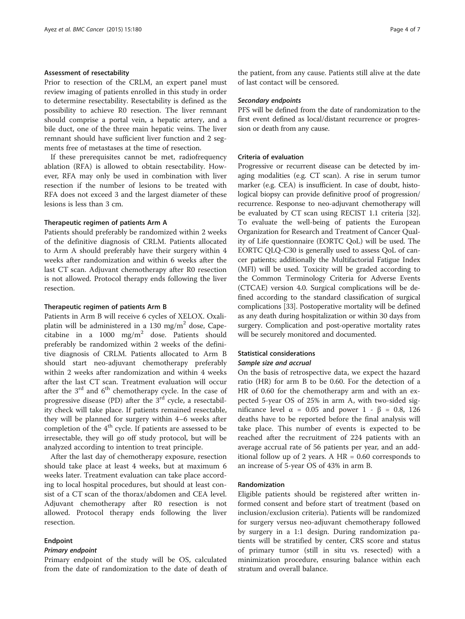#### Assessment of resectability

Prior to resection of the CRLM, an expert panel must review imaging of patients enrolled in this study in order to determine resectability. Resectability is defined as the possibility to achieve R0 resection. The liver remnant should comprise a portal vein, a hepatic artery, and a bile duct, one of the three main hepatic veins. The liver remnant should have sufficient liver function and 2 segments free of metastases at the time of resection.

If these prerequisites cannot be met, radiofrequency ablation (RFA) is allowed to obtain resectability. However, RFA may only be used in combination with liver resection if the number of lesions to be treated with RFA does not exceed 3 and the largest diameter of these lesions is less than 3 cm.

#### Therapeutic regimen of patients Arm A

Patients should preferably be randomized within 2 weeks of the definitive diagnosis of CRLM. Patients allocated to Arm A should preferably have their surgery within 4 weeks after randomization and within 6 weeks after the last CT scan. Adjuvant chemotherapy after R0 resection is not allowed. Protocol therapy ends following the liver resection.

#### Therapeutic regimen of patients Arm B

Patients in Arm B will receive 6 cycles of XELOX. Oxaliplatin will be administered in a 130 mg/m<sup>2</sup> dose, Capecitabine in a 1000  $mg/m^2$  dose. Patients should preferably be randomized within 2 weeks of the definitive diagnosis of CRLM. Patients allocated to Arm B should start neo-adjuvant chemotherapy preferably within 2 weeks after randomization and within 4 weeks after the last CT scan. Treatment evaluation will occur after the 3<sup>rd</sup> and 6<sup>th</sup> chemotherapy cycle. In the case of progressive disease (PD) after the  $3<sup>rd</sup>$  cycle, a resectability check will take place. If patients remained resectable, they will be planned for surgery within 4–6 weeks after completion of the 4<sup>th</sup> cycle. If patients are assessed to be irresectable, they will go off study protocol, but will be analyzed according to intention to treat principle.

After the last day of chemotherapy exposure, resection should take place at least 4 weeks, but at maximum 6 weeks later. Treatment evaluation can take place according to local hospital procedures, but should at least consist of a CT scan of the thorax/abdomen and CEA level. Adjuvant chemotherapy after R0 resection is not allowed. Protocol therapy ends following the liver resection.

#### Endpoint

#### Primary endpoint

Primary endpoint of the study will be OS, calculated from the date of randomization to the date of death of the patient, from any cause. Patients still alive at the date of last contact will be censored.

#### Secondary endpoints

PFS will be defined from the date of randomization to the first event defined as local/distant recurrence or progression or death from any cause.

#### Criteria of evaluation

Progressive or recurrent disease can be detected by imaging modalities (e.g. CT scan). A rise in serum tumor marker (e.g. CEA) is insufficient. In case of doubt, histological biopsy can provide definitive proof of progression/ recurrence. Response to neo-adjuvant chemotherapy will be evaluated by CT scan using RECIST 1.1 criteria [[32](#page-6-0)]. To evaluate the well-being of patients the European Organization for Research and Treatment of Cancer Quality of Life questionnaire (EORTC QoL) will be used. The EORTC QLQ-C30 is generally used to assess QoL of cancer patients; additionally the Multifactorial Fatigue Index (MFI) will be used. Toxicity will be graded according to the Common Terminology Criteria for Adverse Events (CTCAE) version 4.0. Surgical complications will be defined according to the standard classification of surgical complications [\[33\]](#page-6-0). Postoperative mortality will be defined as any death during hospitalization or within 30 days from surgery. Complication and post-operative mortality rates will be securely monitored and documented.

#### Statistical considerations

#### Sample size and accrual

On the basis of retrospective data, we expect the hazard ratio (HR) for arm B to be 0.60. For the detection of a HR of 0.60 for the chemotherapy arm and with an expected 5-year OS of 25% in arm A, with two-sided significance level  $\alpha = 0.05$  and power 1 - β = 0.8, 126 deaths have to be reported before the final analysis will take place. This number of events is expected to be reached after the recruitment of 224 patients with an average accrual rate of 56 patients per year, and an additional follow up of 2 years. A  $HR = 0.60$  corresponds to an increase of 5-year OS of 43% in arm B.

#### Randomization

Eligible patients should be registered after written informed consent and before start of treatment (based on inclusion/exclusion criteria). Patients will be randomized for surgery versus neo-adjuvant chemotherapy followed by surgery in a 1:1 design. During randomization patients will be stratified by center, CRS score and status of primary tumor (still in situ vs. resected) with a minimization procedure, ensuring balance within each stratum and overall balance.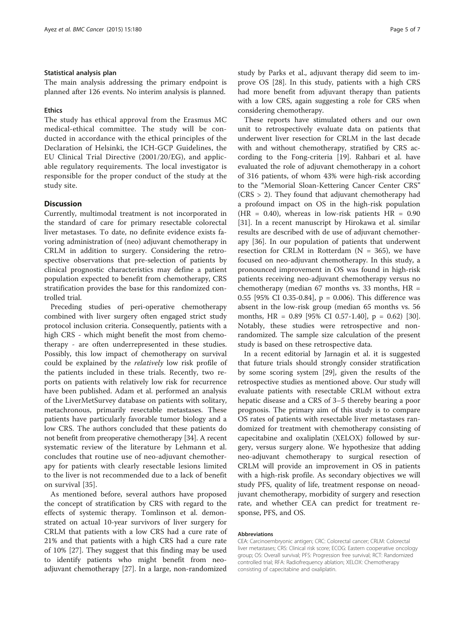#### Statistical analysis plan

The main analysis addressing the primary endpoint is planned after 126 events. No interim analysis is planned.

#### Ethics

The study has ethical approval from the Erasmus MC medical-ethical committee. The study will be conducted in accordance with the ethical principles of the Declaration of Helsinki, the ICH-GCP Guidelines, the EU Clinical Trial Directive (2001/20/EG), and applicable regulatory requirements. The local investigator is responsible for the proper conduct of the study at the study site.

#### **Discussion**

Currently, multimodal treatment is not incorporated in the standard of care for primary resectable colorectal liver metastases. To date, no definite evidence exists favoring administration of (neo) adjuvant chemotherapy in CRLM in addition to surgery. Considering the retrospective observations that pre-selection of patients by clinical prognostic characteristics may define a patient population expected to benefit from chemotherapy, CRS stratification provides the base for this randomized controlled trial.

Preceding studies of peri-operative chemotherapy combined with liver surgery often engaged strict study protocol inclusion criteria. Consequently, patients with a high CRS - which might benefit the most from chemotherapy - are often underrepresented in these studies. Possibly, this low impact of chemotherapy on survival could be explained by the relatively low risk profile of the patients included in these trials. Recently, two reports on patients with relatively low risk for recurrence have been published. Adam et al. performed an analysis of the LiverMetSurvey database on patients with solitary, metachronous, primarily resectable metastases. These patients have particularly favorable tumor biology and a low CRS. The authors concluded that these patients do not benefit from preoperative chemotherapy [[34](#page-6-0)]. A recent systematic review of the literature by Lehmann et al. concludes that routine use of neo-adjuvant chemotherapy for patients with clearly resectable lesions limited to the liver is not recommended due to a lack of benefit on survival [[35](#page-6-0)].

As mentioned before, several authors have proposed the concept of stratification by CRS with regard to the effects of systemic therapy. Tomlinson et al. demonstrated on actual 10-year survivors of liver surgery for CRLM that patients with a low CRS had a cure rate of 21% and that patients with a high CRS had a cure rate of 10% [[27](#page-6-0)]. They suggest that this finding may be used to identify patients who might benefit from neoadjuvant chemotherapy [\[27](#page-6-0)]. In a large, non-randomized

study by Parks et al., adjuvant therapy did seem to improve OS [[28\]](#page-6-0). In this study, patients with a high CRS had more benefit from adjuvant therapy than patients with a low CRS, again suggesting a role for CRS when considering chemotherapy.

These reports have stimulated others and our own unit to retrospectively evaluate data on patients that underwent liver resection for CRLM in the last decade with and without chemotherapy, stratified by CRS according to the Fong-criteria [[19\]](#page-5-0). Rahbari et al. have evaluated the role of adjuvant chemotherapy in a cohort of 316 patients, of whom 43% were high-risk according to the "Memorial Sloan-Kettering Cancer Center CRS" (CRS > 2). They found that adjuvant chemotherapy had a profound impact on OS in the high-risk population  $(HR = 0.40)$ , whereas in low-risk patients  $HR = 0.90$ [[31\]](#page-6-0). In a recent manuscript by Hirokawa et al. similar results are described with de use of adjuvant chemotherapy [\[36\]](#page-6-0). In our population of patients that underwent resection for CRLM in Rotterdam ( $N = 365$ ), we have focused on neo-adjuvant chemotherapy. In this study, a pronounced improvement in OS was found in high-risk patients receiving neo-adjuvant chemotherapy versus no chemotherapy (median  $67$  months vs. 33 months,  $HR =$ 0.55 [95% CI 0.35-0.84], p = 0.006). This difference was absent in the low-risk group (median 65 months vs. 56 months, HR = 0.89 [95% CI 0.57-1.40], p = 0.62) [\[30](#page-6-0)]. Notably, these studies were retrospective and nonrandomized. The sample size calculation of the present study is based on these retrospective data.

In a recent editorial by Jarnagin et al. it is suggested that future trials should strongly consider stratification by some scoring system [\[29](#page-6-0)], given the results of the retrospective studies as mentioned above. Our study will evaluate patients with resectable CRLM without extra hepatic disease and a CRS of 3–5 thereby bearing a poor prognosis. The primary aim of this study is to compare OS rates of patients with resectable liver metastases randomized for treatment with chemotherapy consisting of capecitabine and oxaliplatin (XELOX) followed by surgery, versus surgery alone. We hypothesize that adding neo-adjuvant chemotherapy to surgical resection of CRLM will provide an improvement in OS in patients with a high-risk profile. As secondary objectives we will study PFS, quality of life, treatment response on neoadjuvant chemotherapy, morbidity of surgery and resection rate, and whether CEA can predict for treatment response, PFS, and OS.

#### Abbreviations

CEA: Carcinoembryonic antigen; CRC: Colorectal cancer; CRLM: Colorectal liver metastases; CRS: Clinical risk score; ECOG: Eastern cooperative oncology group; OS: Overall survival; PFS: Progression free survival; RCT: Randomized controlled trial; RFA: Radiofrequency ablation; XELOX: Chemotherapy consisting of capecitabine and oxaliplatin.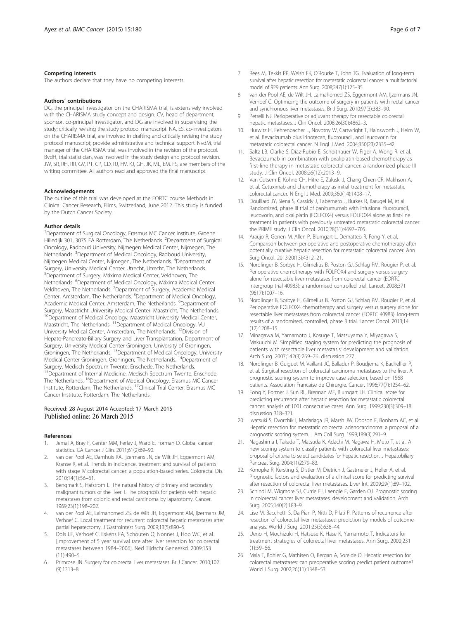#### <span id="page-5-0"></span>Competing interests

The authors declare that they have no competing interests.

#### Authors' contributions

DG, the principal investigator on the CHARISMA trial, is extensively involved with the CHARISMA study concept and design. CV, head of department, sponsor, co-principal investigator, and DG are involved in supervising the study; critically revising the study protocol manuscript. NA, ES, co-investigators on the CHARISMA trial, are involved in drafting and critically revising the study protocol manuscript; provide administrative and technical support. NvdM, trial manager of the CHARISMA trial, was involved in the revision of the protocol. BvdH, trial statistician, was involved in the study design and protocol revision. JW, SR, RH, RR, GV, PT, CP, CD, RJ, HV, KJ, GH, JK, ML, EM, FS, are members of the writing committee. All authors read and approved the final manuscript.

#### Acknowledgements

The outline of this trial was developed at the EORTC course Methods in Clinical Cancer Research, Flims, Switzerland, June 2012. This study is funded by the Dutch Cancer Society.

#### Author details

<sup>1</sup>Department of Surgical Oncology, Erasmus MC Cancer Institute, Groene Hilledijk 301, 3075 EA Rotterdam, The Netherlands. <sup>2</sup>Department of Surgical Oncology, Radboud University, Nijmegen Medical Center, Nijmegen, The Netherlands. <sup>3</sup>Department of Medical Oncology, Radboud University, Nijmegen Medical Center, Nijmegen, The Netherlands. <sup>4</sup> Department of Surgery, University Medical Center Utrecht, Utrecht, The Netherlands. 5 Department of Surgery, Máxima Medical Center, Veldhoven, The Netherlands. <sup>6</sup>Department of Medical Oncology, Máxima Medical Center, Veldhoven, The Netherlands. <sup>7</sup>Department of Surgery, Academic Medical Center, Amsterdam, The Netherlands. <sup>8</sup>Department of Medical Oncology, Academic Medical Center, Amsterdam, The Netherlands. <sup>9</sup>Department of Surgery, Maastricht University Medical Center, Maastricht, The Netherlands.<br><sup>10</sup>Department of Medical Oncology, Maastricht University Medical Center, Maastricht, The Netherlands. <sup>11</sup>Department of Medical Oncology, VU University Medical Center, Amsterdam, The Netherlands. <sup>12</sup>Division of Hepato-Pancreato-Biliary Surgery and Liver Transplantation, Department of Surgery, University Medical Center Groningen, University of Groningen, Groningen, The Netherlands. 13Department of Medical Oncology, University Medical Center Groningen, Groningen, The Netherlands. <sup>14</sup>Department of Surgery, Medisch Spectrum Twente, Enschede, The Netherlands. <sup>15</sup>Department of Internal Medicine, Medisch Spectrum Twente, Enschede, The Netherlands. <sup>16</sup>Department of Medical Oncology, Erasmus MC Cancer Institute, Rotterdam, The Netherlands. 17Clinical Trial Center, Erasmus MC Cancer Institute, Rotterdam, The Netherlands.

#### Received: 28 August 2014 Accepted: 17 March 2015 Published online: 26 March 2015

#### References

- Jemal A, Bray F, Center MM, Ferlay J, Ward E, Forman D. Global cancer statistics. CA Cancer J Clin. 2011;61(2):69–90.
- 2. van der Pool AE, Damhuis RA, Ijzermans JN, de Wilt JH, Eggermont AM, Kranse R, et al. Trends in incidence, treatment and survival of patients with stage IV colorectal cancer: a population-based series. Colorectal Dis. 2010;14(1):56–61.
- 3. Bengmark S, Hafstrom L. The natural history of primary and secondary malignant tumors of the liver. I. The prognosis for patients with hepatic metastases from colonic and rectal carcinoma by laparotomy. Cancer. 1969;23(1):198–202.
- 4. van der Pool AE, Lalmahomed ZS, de Wilt JH, Eggermont AM, Ijzermans JM, Verhoef C. Local treatment for recurrent colorectal hepatic metastases after partial hepatectomy. J Gastrointest Surg. 2009;13(5):890–5.
- Dols LF, Verhoef C, Eskens FA, Schouten O, Nonner J, Hop WC, et al. [Improvement of 5 year survival rate after liver resection for colorectal metastases between 1984–2006]. Ned Tijdschr Geneeskd. 2009;153 (11):490–5.
- 6. Primrose JN. Surgery for colorectal liver metastases. Br J Cancer. 2010;102 (9):1313–8.
- 7. Rees M, Tekkis PP, Welsh FK, O'Rourke T, John TG. Evaluation of long-term survival after hepatic resection for metastatic colorectal cancer: a multifactorial model of 929 patients. Ann Surg. 2008;247(1):125–35.
- 8. van der Pool AE, de Wilt JH, Lalmahomed ZS, Eggermont AM, Ijzermans JN, Verhoef C. Optimizing the outcome of surgery in patients with rectal cancer and synchronous liver metastases. Br J Surg. 2010;97(3):383–90.
- 9. Petrelli NJ. Perioperative or adjuvant therapy for resectable colorectal hepatic metastases. J Clin Oncol. 2008;26(30):4862–3.
- 10. Hurwitz H, Fehrenbacher L, Novotny W, Cartwright T, Hainsworth J, Heim W, et al. Bevacizumab plus irinotecan, fluorouracil, and leucovorin for metastatic colorectal cancer. N Engl J Med. 2004;350(23):2335–42.
- 11. Saltz LB, Clarke S, Diaz-Rubio E, Scheithauer W, Figer A, Wong R, et al. Bevacizumab in combination with oxaliplatin-based chemotherapy as first-line therapy in metastatic colorectal cancer: a randomized phase III study. J Clin Oncol. 2008;26(12):2013–9.
- 12. Van Cutsem E, Kohne CH, Hitre E, Zaluski J, Chang Chien CR, Makhson A, et al. Cetuximab and chemotherapy as initial treatment for metastatic colorectal cancer. N Engl J Med. 2009;360(14):1408–17.
- 13. Douillard JY, Siena S, Cassidy J, Tabernero J, Burkes R, Barugel M, et al. Randomized, phase III trial of panitumumab with infusional fluorouracil, leucovorin, and oxaliplatin (FOLFOX4) versus FOLFOX4 alone as first-line treatment in patients with previously untreated metastatic colorectal cancer: the PRIME study. J Clin Oncol. 2010;28(31):4697–705.
- 14. Araujo R, Gonen M, Allen P, Blumgart L, Dematteo R, Fong Y, et al. Comparison between perioperative and postoperative chemotherapy after potentially curative hepatic resection for metastatic colorectal cancer. Ann Surg Oncol. 2013;20(13):4312–21.
- 15. Nordlinger B, Sorbye H, Glimelius B, Poston GJ, Schlag PM, Rougier P, et al. Perioperative chemotherapy with FOLFOX4 and surgery versus surgery alone for resectable liver metastases from colorectal cancer (EORTC Intergroup trial 40983): a randomised controlled trial. Lancet. 2008;371 (9617):1007–16.
- 16. Nordlinger B, Sorbye H, Glimelius B, Poston GJ, Schlag PM, Rougier P, et al. Perioperative FOLFOX4 chemotherapy and surgery versus surgery alone for resectable liver metastases from colorectal cancer (EORTC 40983): long-term results of a randomised, controlled, phase 3 trial. Lancet Oncol. 2013;14 (12):1208–15.
- 17. Minagawa M, Yamamoto J, Kosuge T, Matsuyama Y, Miyagawa S, Makuuchi M. Simplified staging system for predicting the prognosis of patients with resectable liver metastasis: development and validation. Arch Surg. 2007;142(3):269–76. discussion 277.
- 18. Nordlinger B, Guiguet M, Vaillant JC, Balladur P, Boudjema K, Bachellier P, et al. Surgical resection of colorectal carcinoma metastases to the liver. A prognostic scoring system to improve case selection, based on 1568 patients. Association Francaise de Chirurgie. Cancer. 1996;77(7):1254–62.
- 19. Fong Y, Fortner J, Sun RL, Brennan MF, Blumgart LH. Clinical score for predicting recurrence after hepatic resection for metastatic colorectal cancer: analysis of 1001 consecutive cases. Ann Surg. 1999;230(3):309–18. discussion 318–321.
- 20. Iwatsuki S, Dvorchik I, Madariaga JR, Marsh JW, Dodson F, Bonham AC, et al. Hepatic resection for metastatic colorectal adenocarcinoma: a proposal of a prognostic scoring system. J Am Coll Surg. 1999;189(3):291–9.
- 21. Nagashima I, Takada T, Matsuda K, Adachi M, Nagawa H, Muto T, et al. A new scoring system to classify patients with colorectal liver metastases: proposal of criteria to select candidates for hepatic resection. J Hepatobiliary Pancreat Surg. 2004;11(2):79–83.
- 22. Konopke R, Kersting S, Distler M, Dietrich J, Gastmeier J, Heller A, et al. Prognostic factors and evaluation of a clinical score for predicting survival after resection of colorectal liver metastases. Liver Int. 2009;29(1):89–102.
- 23. Schindl M, Wigmore SJ, Currie EJ, Laengle F, Garden OJ. Prognostic scoring in colorectal cancer liver metastases: development and validation. Arch Surg. 2005;140(2):183–9.
- 24. Lise M, Bacchetti S, Da Pian P, Nitti D, Pilati P. Patterns of recurrence after resection of colorectal liver metastases: prediction by models of outcome analysis. World J Surg. 2001;25(5):638–44.
- 25. Ueno H, Mochizuki H, Hatsuse K, Hase K, Yamamoto T. Indicators for treatment strategies of colorectal liver metastases. Ann Surg. 2000;231 (1):59–66.
- 26. Mala T, Bohler G, Mathisen O, Bergan A, Soreide O. Hepatic resection for colorectal metastases: can preoperative scoring predict patient outcome? World J Surg. 2002;26(11):1348–53.